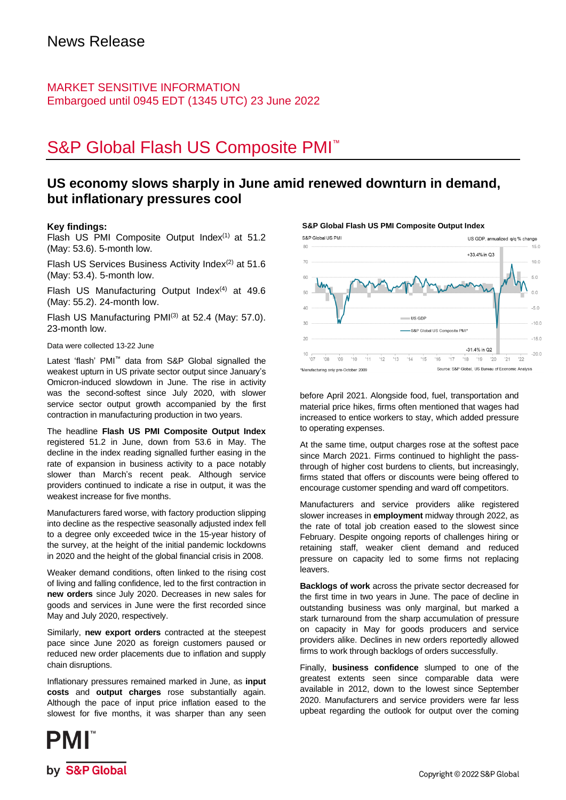## MARKET SENSITIVE INFORMATION Embargoed until 0945 EDT (1345 UTC) 23 June 2022

# S&P Global Flash US Composite PMI<sup>™</sup>

## **US economy slows sharply in June amid renewed downturn in demand, but inflationary pressures cool**

#### **Key findings:**

Flash US PMI Composite Output Index<sup>(1)</sup> at 51.2 (May: 53.6). 5-month low.

Flash US Services Business Activity Index<sup>(2)</sup> at 51.6 (May: 53.4). 5-month low.

Flash US Manufacturing Output Index $(4)$  at 49.6 (May: 55.2). 24-month low.

Flash US Manufacturing  $PMI^{(3)}$  at 52.4 (May: 57.0). 23-month low.

Data were collected 13-22 June

Latest 'flash' PMI™ data from S&P Global signalled the weakest upturn in US private sector output since January's Omicron-induced slowdown in June. The rise in activity was the second-softest since July 2020, with slower service sector output growth accompanied by the first contraction in manufacturing production in two years.

The headline **Flash US PMI Composite Output Index** registered 51.2 in June, down from 53.6 in May. The decline in the index reading signalled further easing in the rate of expansion in business activity to a pace notably slower than March's recent peak. Although service providers continued to indicate a rise in output, it was the weakest increase for five months.

Manufacturers fared worse, with factory production slipping into decline as the respective seasonally adjusted index fell to a degree only exceeded twice in the 15-year history of the survey, at the height of the initial pandemic lockdowns in 2020 and the height of the global financial crisis in 2008.

Weaker demand conditions, often linked to the rising cost of living and falling confidence, led to the first contraction in **new orders** since July 2020. Decreases in new sales for goods and services in June were the first recorded since May and July 2020, respectively.

Similarly, **new export orders** contracted at the steepest pace since June 2020 as foreign customers paused or reduced new order placements due to inflation and supply chain disruptions.

Inflationary pressures remained marked in June, as **input costs** and **output charges** rose substantially again. Although the pace of input price inflation eased to the slowest for five months, it was sharper than any seen **S&P Global Flash US PMI Composite Output Index**



before April 2021. Alongside food, fuel, transportation and material price hikes, firms often mentioned that wages had increased to entice workers to stay, which added pressure to operating expenses.

At the same time, output charges rose at the softest pace since March 2021. Firms continued to highlight the passthrough of higher cost burdens to clients, but increasingly, firms stated that offers or discounts were being offered to encourage customer spending and ward off competitors.

Manufacturers and service providers alike registered slower increases in **employment** midway through 2022, as the rate of total job creation eased to the slowest since February. Despite ongoing reports of challenges hiring or retaining staff, weaker client demand and reduced pressure on capacity led to some firms not replacing leavers.

**Backlogs of work** across the private sector decreased for the first time in two years in June. The pace of decline in outstanding business was only marginal, but marked a stark turnaround from the sharp accumulation of pressure on capacity in May for goods producers and service providers alike. Declines in new orders reportedly allowed firms to work through backlogs of orders successfully.

Finally, **business confidence** slumped to one of the greatest extents seen since comparable data were available in 2012, down to the lowest since September 2020. Manufacturers and service providers were far less upbeat regarding the outlook for output over the coming

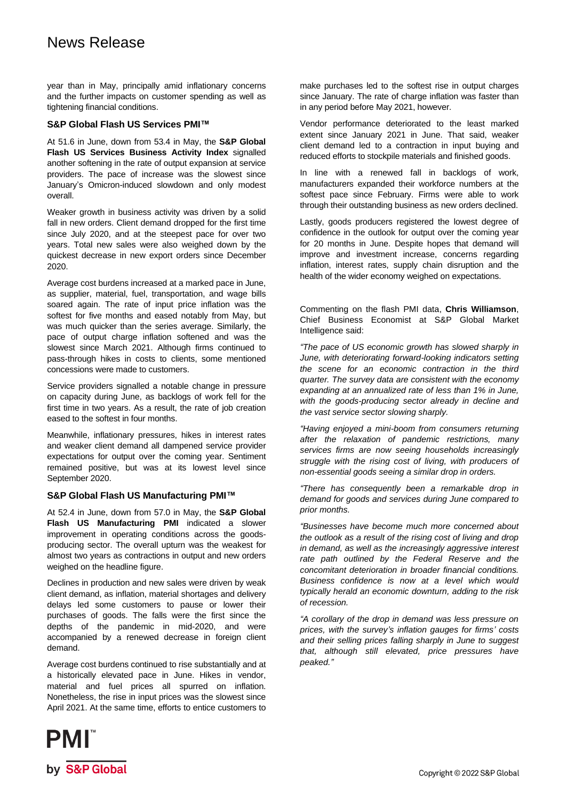## News Release

year than in May, principally amid inflationary concerns and the further impacts on customer spending as well as tightening financial conditions.

#### **S&P Global Flash US Services PMI™**

At 51.6 in June, down from 53.4 in May, the **S&P Global Flash US Services Business Activity Index** signalled another softening in the rate of output expansion at service providers. The pace of increase was the slowest since January's Omicron-induced slowdown and only modest overall.

Weaker growth in business activity was driven by a solid fall in new orders. Client demand dropped for the first time since July 2020, and at the steepest pace for over two years. Total new sales were also weighed down by the quickest decrease in new export orders since December 2020.

Average cost burdens increased at a marked pace in June, as supplier, material, fuel, transportation, and wage bills soared again. The rate of input price inflation was the softest for five months and eased notably from May, but was much quicker than the series average. Similarly, the pace of output charge inflation softened and was the slowest since March 2021. Although firms continued to pass-through hikes in costs to clients, some mentioned concessions were made to customers.

Service providers signalled a notable change in pressure on capacity during June, as backlogs of work fell for the first time in two years. As a result, the rate of job creation eased to the softest in four months.

Meanwhile, inflationary pressures, hikes in interest rates and weaker client demand all dampened service provider expectations for output over the coming year. Sentiment remained positive, but was at its lowest level since September 2020.

#### **S&P Global Flash US Manufacturing PMI™**

At 52.4 in June, down from 57.0 in May, the **S&P Global Flash US Manufacturing PMI** indicated a slower improvement in operating conditions across the goodsproducing sector. The overall upturn was the weakest for almost two years as contractions in output and new orders weighed on the headline figure.

Declines in production and new sales were driven by weak client demand, as inflation, material shortages and delivery delays led some customers to pause or lower their purchases of goods. The falls were the first since the depths of the pandemic in mid-2020, and were accompanied by a renewed decrease in foreign client demand.

Average cost burdens continued to rise substantially and at a historically elevated pace in June. Hikes in vendor, material and fuel prices all spurred on inflation. Nonetheless, the rise in input prices was the slowest since April 2021. At the same time, efforts to entice customers to



Vendor performance deteriorated to the least marked extent since January 2021 in June. That said, weaker client demand led to a contraction in input buying and reduced efforts to stockpile materials and finished goods.

In line with a renewed fall in backlogs of work, manufacturers expanded their workforce numbers at the softest pace since February. Firms were able to work through their outstanding business as new orders declined.

Lastly, goods producers registered the lowest degree of confidence in the outlook for output over the coming year for 20 months in June. Despite hopes that demand will improve and investment increase, concerns regarding inflation, interest rates, supply chain disruption and the health of the wider economy weighed on expectations.

Commenting on the flash PMI data, **Chris Williamson**, Chief Business Economist at S&P Global Market Intelligence said:

*"The pace of US economic growth has slowed sharply in June, with deteriorating forward-looking indicators setting the scene for an economic contraction in the third quarter. The survey data are consistent with the economy expanding at an annualized rate of less than 1% in June, with the goods-producing sector already in decline and the vast service sector slowing sharply.* 

*"Having enjoyed a mini-boom from consumers returning after the relaxation of pandemic restrictions, many services firms are now seeing households increasingly struggle with the rising cost of living, with producers of non-essential goods seeing a similar drop in orders.* 

*"There has consequently been a remarkable drop in demand for goods and services during June compared to prior months.*

*"Businesses have become much more concerned about the outlook as a result of the rising cost of living and drop in demand, as well as the increasingly aggressive interest rate path outlined by the Federal Reserve and the concomitant deterioration in broader financial conditions. Business confidence is now at a level which would typically herald an economic downturn, adding to the risk of recession.*

*"A corollary of the drop in demand was less pressure on prices, with the survey's inflation gauges for firms' costs and their selling prices falling sharply in June to suggest that, although still elevated, price pressures have peaked."*